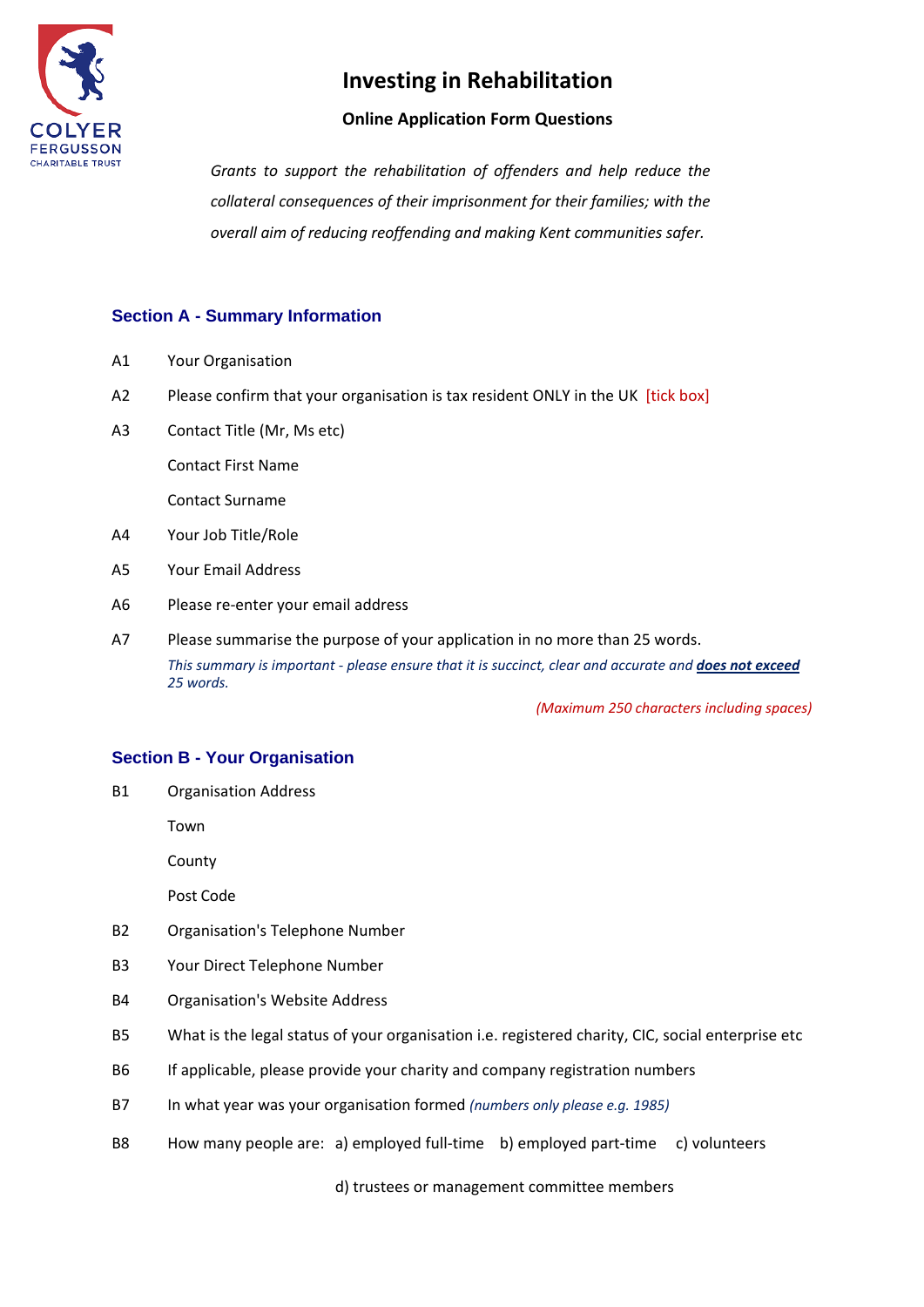

## **Online Application Form Questions**

*Grants to support the rehabilitation of offenders and help reduce the collateral consequences of their imprisonment for their families; with the overall aim of reducing reoffending and making Kent communities safer.* 

# **Section A - Summary Information**

- A1 Your Organisation
- A2 Please confirm that your organisation is tax resident ONLY in the UK [tick box]
- A3 Contact Title (Mr, Ms etc)

Contact First Name

Contact Surname

- A4 Your Job Title/Role
- A5 Your Email Address
- A6 Please re-enter your email address
- A7 Please summarise the purpose of your application in no more than 25 words. *This summary is important - please ensure that it is succinct, clear and accurate and does not exceed 25 words.*

*(Maximum 250 characters including spaces)*

### **Section B - Your Organisation**

B1 Organisation Address

Town

County

Post Code

- B2 Organisation's Telephone Number
- B3 Your Direct Telephone Number
- B4 Organisation's Website Address
- B5 What is the legal status of your organisation i.e. registered charity, CIC, social enterprise etc
- B6 If applicable, please provide your charity and company registration numbers
- B7 In what year was your organisation formed *(numbers only please e.g. 1985)*
- B8 How many people are: a) employed full-time b) employed part-time c) volunteers

d) trustees or management committee members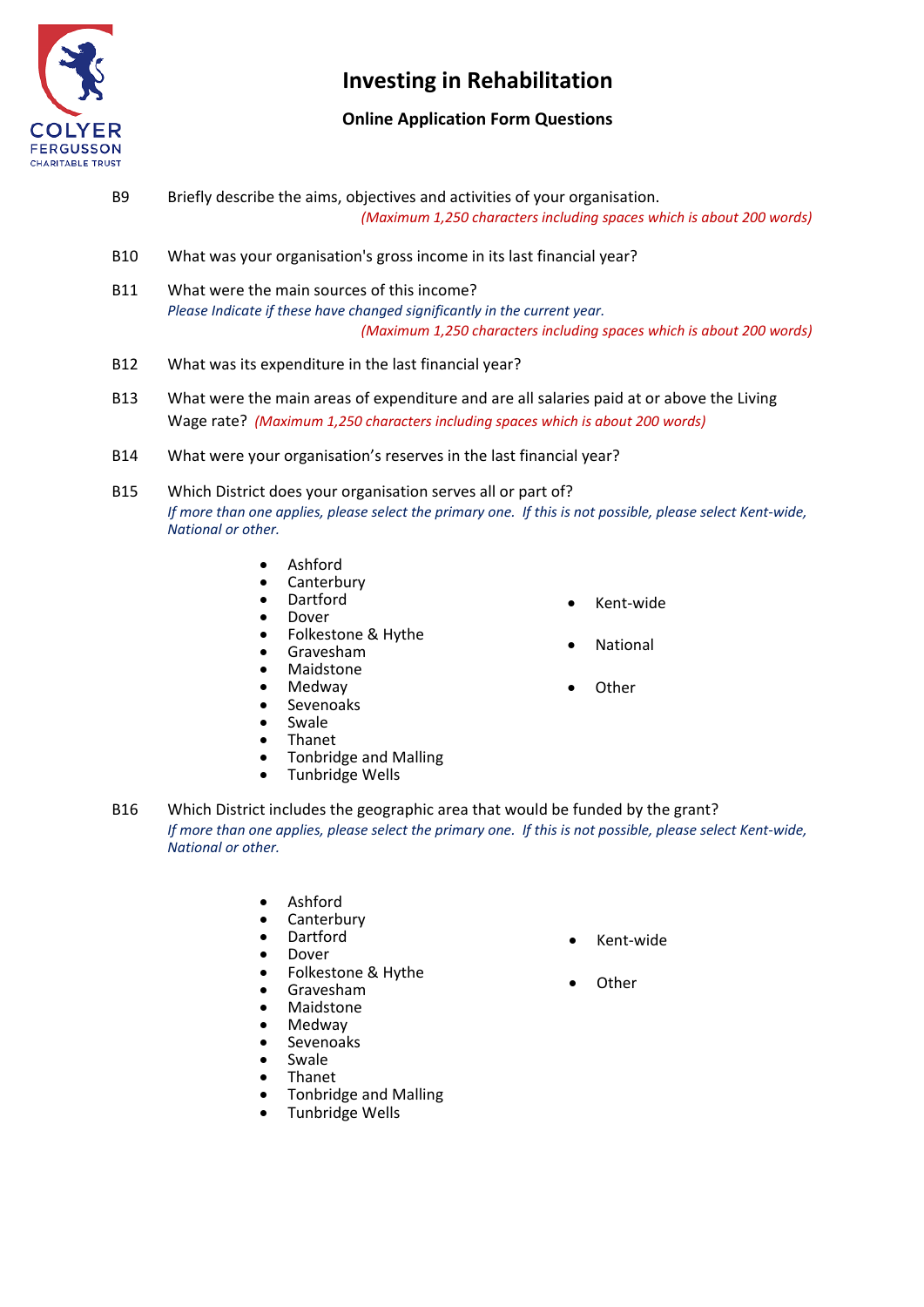

# **Online Application Form Questions**

- B9 Briefly describe the aims, objectives and activities of your organisation. *(Maximum 1,250 characters including spaces which is about 200 words)*
- B10 What was your organisation's gross income in its last financial year?
- B11 What were the main sources of this income? *Please Indicate if these have changed significantly in the current year. (Maximum 1,250 characters including spaces which is about 200 words)*
- B12 What was its expenditure in the last financial year?
- B13 What were the main areas of expenditure and are all salaries paid at or above the Living Wage rate? *(Maximum 1,250 characters including spaces which is about 200 words)*
- B14 What were your organisation's reserves in the last financial year?
- B15 Which District does your organisation serves all or part of? *If more than one applies, please select the primary one. If this is not possible, please select Kent-wide, National or other.*
	- Ashford
	- Canterbury<br>• Dartford
	- Dartford<br>• Dover
	- Dover
	- Folkestone & Hythe<br>• Gravesham
	- Gravesham<br>• Maidstone
	- **Maidstone**
	- Medway
	- Sevenoaks
	- Swale
	- Thanet
	- Tonbridge and Malling
	- Tunbridge Wells
- B16 Which District includes the geographic area that would be funded by the grant? *If more than one applies, please select the primary one. If this is not possible, please select Kent-wide, National or other.*
	- Ashford
	- **Canterbury**
	- Dartford
	- Dover
	- Folkestone & Hythe
	- Gravesham
	- Maidstone
	- Medway
	- Sevenoaks
	- Swale
	- Thanet
	- Tonbridge and Malling
	- Tunbridge Wells
- Kent-wide
- Other
- Kent-wide
- **National**
- 
- 
- **Other**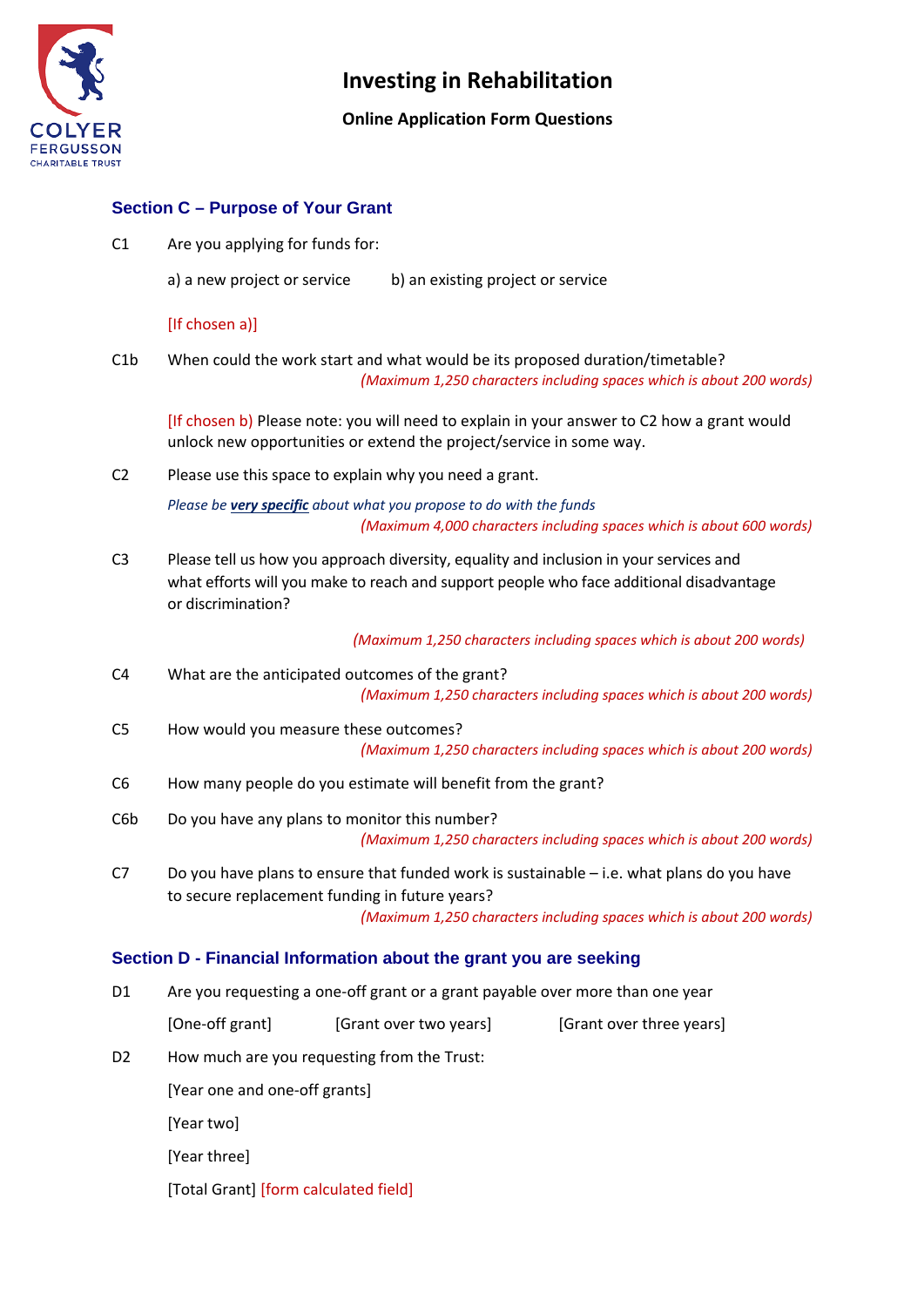

## **Online Application Form Questions**

### **Section C – Purpose of Your Grant**

C1 Are you applying for funds for:

a) a new project or service b) an existing project or service

#### [If chosen a)]

C1b When could the work start and what would be its proposed duration/timetable? *(Maximum 1,250 characters including spaces which is about 200 words)*

[If chosen b) Please note: you will need to explain in your answer to C2 how a grant would unlock new opportunities or extend the project/service in some way.

C2 Please use this space to explain why you need a grant.

*Please be very specific about what you propose to do with the funds (Maximum 4,000 characters including spaces which is about 600 words)*

C3 Please tell us how you approach diversity, equality and inclusion in your services and what efforts will you make to reach and support people who face additional disadvantage or discrimination?

 *(Maximum 1,250 characters including spaces which is about 200 words)*

- C4 What are the anticipated outcomes of the grant? *(Maximum 1,250 characters including spaces which is about 200 words)*
- C5 How would you measure these outcomes?

*(Maximum 1,250 characters including spaces which is about 200 words)*

- C6 How many people do you estimate will benefit from the grant?
- C6b Do you have any plans to monitor this number? *(Maximum 1,250 characters including spaces which is about 200 words)*
- C7 Do you have plans to ensure that funded work is sustainable i.e. what plans do you have to secure replacement funding in future years?

*(Maximum 1,250 characters including spaces which is about 200 words)*

### **Section D - Financial Information about the grant you are seeking**

D1 Are you requesting a one-off grant or a grant payable over more than one year

[One-off grant] [Grant over two years] [Grant over three years] D2 How much are you requesting from the Trust: [Year one and one-off grants] [Year two]

[Year three]

[Total Grant] [form calculated field]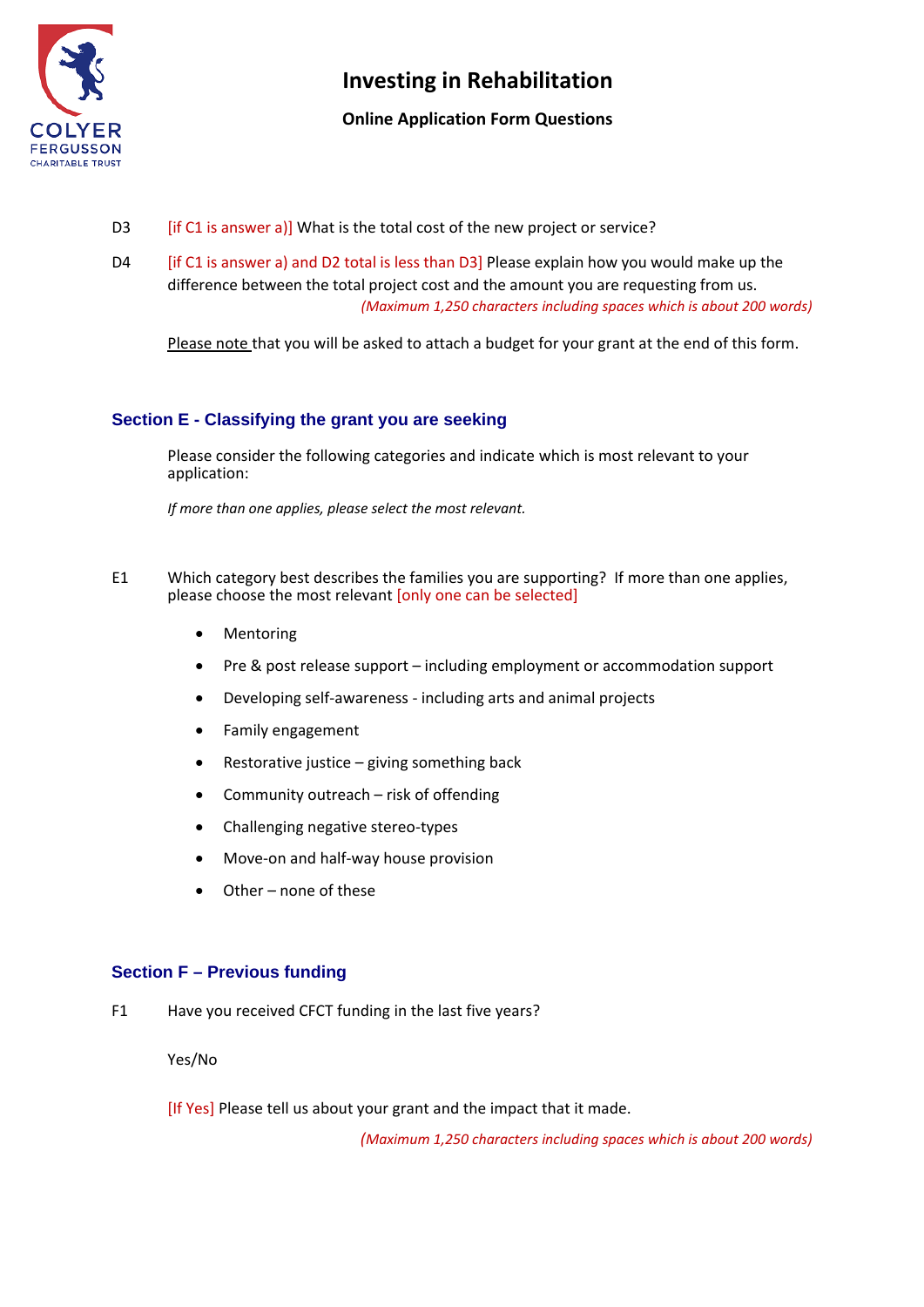

## **Online Application Form Questions**

- D3 [if C1 is answer a)] What is the total cost of the new project or service?
- D4 [if C1 is answer a) and D2 total is less than D3] Please explain how you would make up the difference between the total project cost and the amount you are requesting from us. *(Maximum 1,250 characters including spaces which is about 200 words)*

Please note that you will be asked to attach a budget for your grant at the end of this form.

## **Section E - Classifying the grant you are seeking**

Please consider the following categories and indicate which is most relevant to your application:

*If more than one applies, please select the most relevant.*

- E1 Which category best describes the families you are supporting? If more than one applies, please choose the most relevant [only one can be selected]
	- Mentoring
	- Pre & post release support including employment or accommodation support
	- Developing self-awareness including arts and animal projects
	- Family engagement
	- Restorative justice  $-$  giving something back
	- Community outreach risk of offending
	- Challenging negative stereo-types
	- Move-on and half-way house provision
	- Other none of these

### **Section F – Previous funding**

F1 Have you received CFCT funding in the last five years?

Yes/No

[If Yes] Please tell us about your grant and the impact that it made.

*(Maximum 1,250 characters including spaces which is about 200 words)*